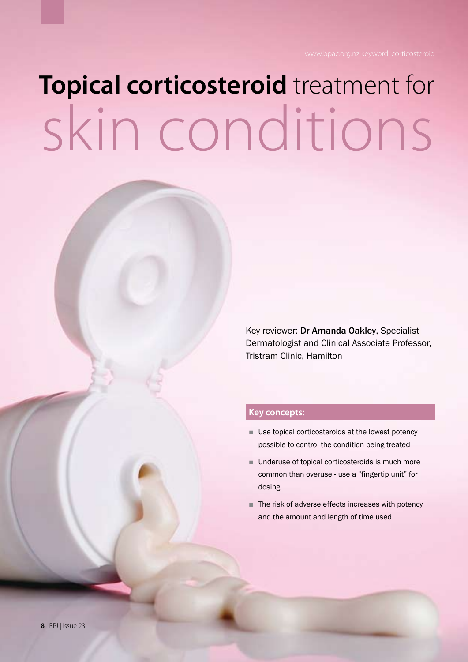# **Topical corticosteroid** treatment for skin conditions

Key reviewer: Dr Amanda Oakley, Specialist Dermatologist and Clinical Associate Professor, Tristram Clinic, Hamilton

#### **Key concepts:**

- Use topical corticosteroids at the lowest potency possible to control the condition being treated
- Underuse of topical corticosteroids is much more common than overuse - use a "fingertip unit" for dosing
- The risk of adverse effects increases with potency and the amount and length of time used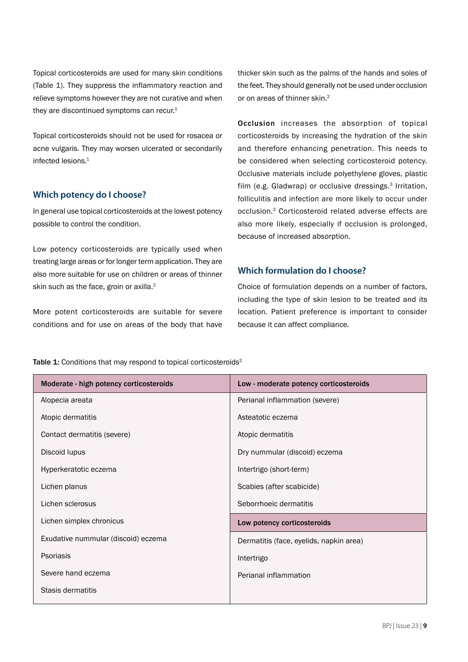Topical corticosteroids are used for many skin conditions (Table 1). They suppress the inflammatory reaction and relieve symptoms however they are not curative and when they are discontinued symptoms can recur.<sup>1</sup>

Topical corticosteroids should not be used for rosacea or acne vulgaris. They may worsen ulcerated or secondarily infected lesions.1

#### **Which potency do I choose?**

In general use topical corticosteroids at the lowest potency possible to control the condition.

Low potency corticosteroids are typically used when treating large areas or for longer term application. They are also more suitable for use on children or areas of thinner skin such as the face, groin or axilla.<sup>2</sup>

More potent corticosteroids are suitable for severe conditions and for use on areas of the body that have thicker skin such as the palms of the hands and soles of the feet. They should generally not be used under occlusion or on areas of thinner skin.<sup>2</sup>

Occlusion increases the absorption of topical corticosteroids by increasing the hydration of the skin and therefore enhancing penetration. This needs to be considered when selecting corticosteroid potency. Occlusive materials include polyethylene gloves, plastic film (e.g. Gladwrap) or occlusive dressings.<sup>3</sup> Irritation, folliculitis and infection are more likely to occur under occlusion.2 Corticosteroid related adverse effects are also more likely, especially if occlusion is prolonged, because of increased absorption.

#### **Which formulation do I choose?**

Choice of formulation depends on a number of factors, including the type of skin lesion to be treated and its location. Patient preference is important to consider because it can affect compliance.

Table 1: Conditions that may respond to topical corticosteroids<sup>2</sup>

| Moderate - high potency corticosteroids | Low - moderate potency corticosteroids  |  |
|-----------------------------------------|-----------------------------------------|--|
| Alopecia areata                         | Perianal inflammation (severe)          |  |
| Atopic dermatitis                       | Asteatotic eczema                       |  |
| Contact dermatitis (severe)             | Atopic dermatitis                       |  |
| Discoid lupus                           | Dry nummular (discoid) eczema           |  |
| Hyperkeratotic eczema                   | Intertrigo (short-term)                 |  |
| Lichen planus                           | Scabies (after scabicide)               |  |
| Lichen sclerosus                        | Seborrhoeic dermatitis                  |  |
| Lichen simplex chronicus                | Low potency corticosteroids             |  |
| Exudative nummular (discoid) eczema     | Dermatitis (face, eyelids, napkin area) |  |
| Psoriasis                               | Intertrigo                              |  |
| Severe hand eczema                      | Perianal inflammation                   |  |
| Stasis dermatitis                       |                                         |  |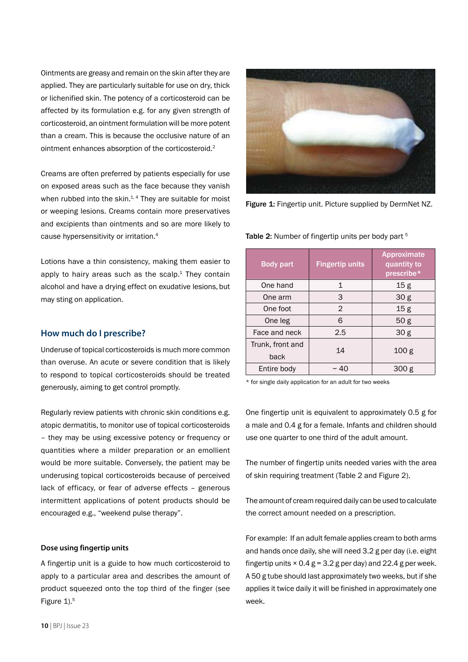Ointments are greasy and remain on the skin after they are applied. They are particularly suitable for use on dry, thick or lichenified skin. The potency of a corticosteroid can be affected by its formulation e.g. for any given strength of corticosteroid, an ointment formulation will be more potent than a cream. This is because the occlusive nature of an ointment enhances absorption of the corticosteroid.2

Creams are often preferred by patients especially for use on exposed areas such as the face because they vanish when rubbed into the skin. $1, 4$  They are suitable for moist or weeping lesions. Creams contain more preservatives and excipients than ointments and so are more likely to cause hypersensitivity or irritation.4

Lotions have a thin consistency, making them easier to apply to hairy areas such as the scalp. $1$  They contain alcohol and have a drying effect on exudative lesions, but may sting on application.

#### **How much do I prescribe?**

Underuse of topical corticosteroids is much more common than overuse. An acute or severe condition that is likely to respond to topical corticosteroids should be treated generously, aiming to get control promptly.

Regularly review patients with chronic skin conditions e.g. atopic dermatitis, to monitor use of topical corticosteroids – they may be using excessive potency or frequency or quantities where a milder preparation or an emollient would be more suitable. Conversely, the patient may be underusing topical corticosteroids because of perceived lack of efficacy, or fear of adverse effects – generous intermittent applications of potent products should be encouraged e.g., "weekend pulse therapy".

#### **Dose using fingertip units**

A fingertip unit is a guide to how much corticosteroid to apply to a particular area and describes the amount of product squeezed onto the top third of the finger (see Figure 1).<sup>5</sup>



Figure 1: Fingertip unit. Picture supplied by DermNet NZ.

Table 2: Number of fingertip units per body part<sup>5</sup>

| <b>Body part</b>         | <b>Fingertip units</b> | Approximate<br>quantity to<br>prescribe* |
|--------------------------|------------------------|------------------------------------------|
| One hand                 | $\mathbf{1}$           | 15g                                      |
| One arm                  | 3                      | 30 <sub>g</sub>                          |
| One foot                 | $\mathfrak{D}$         | 15g                                      |
| One leg                  | 6                      | 50 g                                     |
| Face and neck            | 2.5                    | 30 <sub>g</sub>                          |
| Trunk, front and<br>back | 14                     | 100 g                                    |
| Entire body              | $\sim$ 40              | 300 g                                    |

\* for single daily application for an adult for two weeks

One fingertip unit is equivalent to approximately 0.5 g for a male and 0.4 g for a female. Infants and children should use one quarter to one third of the adult amount.

The number of fingertip units needed varies with the area of skin requiring treatment (Table 2 and Figure 2).

The amount of cream required daily can be used to calculate the correct amount needed on a prescription.

For example: If an adult female applies cream to both arms and hands once daily, she will need 3.2 g per day (i.e. eight fingertip units  $\times$  0.4 g = 3.2 g per day) and 22.4 g per week. A 50 g tube should last approximately two weeks, but if she applies it twice daily it will be finished in approximately one week.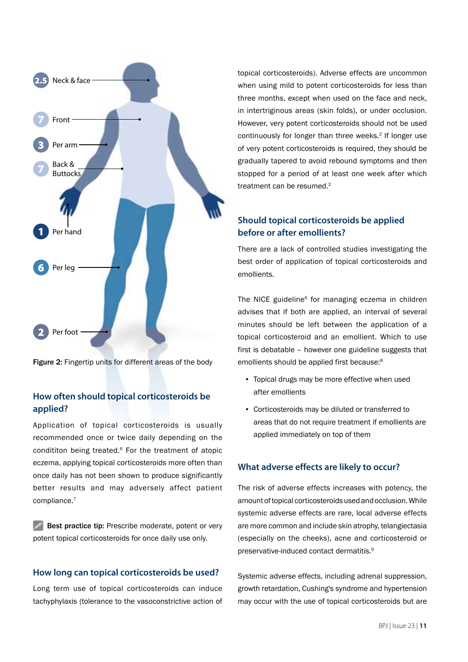

Figure 2: Fingertip units for different areas of the body

#### **How often should topical corticosteroids be applied?**

Application of topical corticosteroids is usually recommended once or twice daily depending on the condititon being treated.6 For the treatment of atopic eczema, applying topical corticosteroids more often than once daily has not been shown to produce significantly better results and may adversely affect patient compliance.7

 $\mathscr{P}$  Best practice tip: Prescribe moderate, potent or very potent topical corticosteroids for once daily use only.

#### **How long can topical corticosteroids be used?**

Long term use of topical corticosteroids can induce tachyphylaxis (tolerance to the vasoconstrictive action of topical corticosteroids). Adverse effects are uncommon when using mild to potent corticosteroids for less than three months, except when used on the face and neck, in intertriginous areas (skin folds), or under occlusion. However, very potent corticosteroids should not be used continuously for longer than three weeks.<sup>2</sup> If longer use of very potent corticosteroids is required, they should be gradually tapered to avoid rebound symptoms and then stopped for a period of at least one week after which treatment can be resumed.<sup>2</sup>

#### **Should topical corticosteroids be applied before or after emollients?**

There are a lack of controlled studies investigating the best order of application of topical corticosteroids and emollients.

The NICE guideline<sup>6</sup> for managing eczema in children advises that if both are applied, an interval of several minutes should be left between the application of a topical corticosteroid and an emollient. Which to use first is debatable – however one guideline suggests that emollients should be applied first because:<sup>8</sup>

- Topical drugs may be more effective when used after emollients
- Corticosteroids may be diluted or transferred to areas that do not require treatment if emollients are applied immediately on top of them

#### **What adverse effects are likely to occur?**

The risk of adverse effects increases with potency, the amount of topical corticosteroids used and occlusion. While systemic adverse effects are rare, local adverse effects are more common and include skin atrophy, telangiectasia (especially on the cheeks), acne and corticosteroid or preservative-induced contact dermatitis.9

Systemic adverse effects, including adrenal suppression, growth retardation, Cushing's syndrome and hypertension may occur with the use of topical corticosteroids but are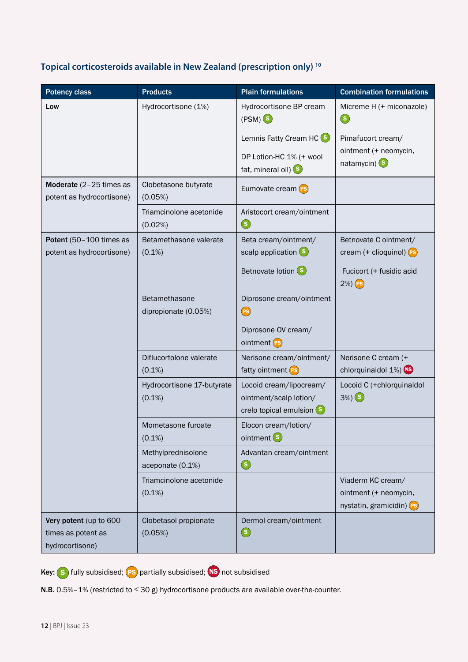#### T**opical corticosteroids available in New Zealand (prescription only) 10**

| <b>Potency class</b>                                            | <b>Products</b>                         | <b>Plain formulations</b>                                                         | <b>Combination formulations</b>                                                                             |
|-----------------------------------------------------------------|-----------------------------------------|-----------------------------------------------------------------------------------|-------------------------------------------------------------------------------------------------------------|
| Low                                                             | Hydrocortisone (1%)                     | Hydrocortisone BP cream<br>$(PSM)$ $(s)$                                          | Micreme H (+ miconazole)<br>$\circledast$                                                                   |
|                                                                 |                                         | Lemnis Fatty Cream HC (S)                                                         | Pimafucort cream/                                                                                           |
|                                                                 |                                         | DP Lotion-HC 1% (+ wool<br>fat, mineral oil) S                                    | ointment (+ neomycin,<br>$n$ atamycin) $(s)$                                                                |
| Moderate (2-25 times as<br>potent as hydrocortisone)            | Clobetasone butyrate<br>(0.05%)         | Eumovate cream (PS)                                                               |                                                                                                             |
|                                                                 | Triamcinolone acetonide<br>(0.02%)      | Aristocort cream/ointment<br>$\circled{\textcolor{red}S}$                         |                                                                                                             |
| Potent (50-100 times as<br>potent as hydrocortisone)            | Betamethasone valerate<br>$(0.1\%)$     | Beta cream/ointment/<br>scalp application (S)<br>Betnovate lotion (S)             | Betnovate C ointment/<br>cream (+ clioquinol) (Ps)<br>Fucicort (+ fusidic acid<br>$2\%)$ $\left($ $\right)$ |
|                                                                 | Betamethasone<br>dipropionate (0.05%)   | Diprosone cream/ointment<br><b>(PS)</b><br>Diprosone OV cream/<br>ointment (PS)   |                                                                                                             |
|                                                                 | Diflucortolone valerate<br>$(0.1\%)$    | Nerisone cream/ointment/<br>fatty ointment (PS)                                   | Nerisone C cream (+<br>chlorquinaldol 1%) NS                                                                |
|                                                                 | Hydrocortisone 17-butyrate<br>$(0.1\%)$ | Locoid cream/lipocream/<br>ointment/scalp lotion/<br>crelo topical emulsion $(s)$ | Locoid C (+chlorquinaldol<br>$3\%)$ (s)                                                                     |
|                                                                 | Mometasone furoate<br>$(0.1\%)$         | Elocon cream/lotion/<br>ointment <sup>5</sup>                                     |                                                                                                             |
|                                                                 | Methylprednisolone<br>aceponate (0.1%)  | Advantan cream/ointment<br>$\circledast$                                          |                                                                                                             |
|                                                                 | Triamcinolone acetonide<br>$(0.1\%)$    |                                                                                   | Viaderm KC cream/<br>ointment (+ neomycin,<br>nystatin, gramicidin) Ps                                      |
| Very potent (up to 600<br>times as potent as<br>hydrocortisone) | Clobetasol propionate<br>(0.05%)        | Dermol cream/ointment<br>$\circled{\textcolor{red}S}$                             |                                                                                                             |

Key: S fully subsidised; **PS** partially subsidised; **NS** not subsidised

N.B. 0.5%-1% (restricted to ≤ 30 g) hydrocortisone products are available over-the-counter.